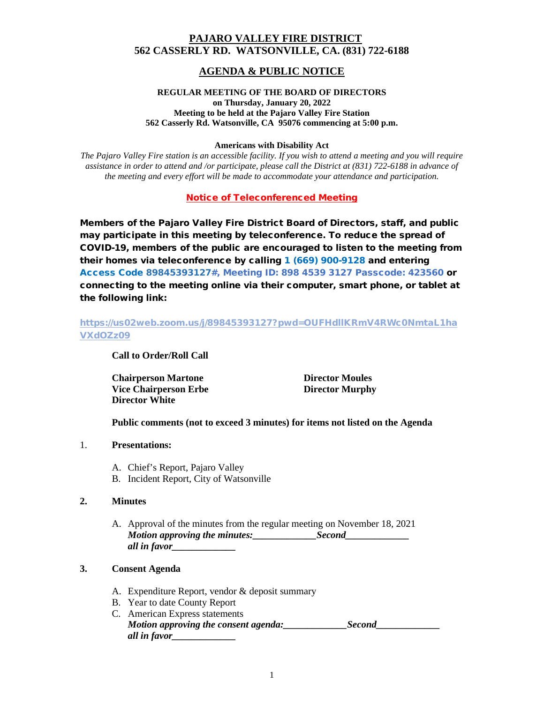# **PAJARO VALLEY FIRE DISTRICT 562 CASSERLY RD. WATSONVILLE, CA. (831) 722-6188**

# **AGENDA & PUBLIC NOTICE**

#### **REGULAR MEETING OF THE BOARD OF DIRECTORS on Thursday, January 20, 2022 Meeting to be held at the Pajaro Valley Fire Station 562 Casserly Rd. Watsonville, CA 95076 commencing at 5:00 p.m.**

#### **Americans with Disability Act**

*The Pajaro Valley Fire station is an accessible facility. If you wish to attend a meeting and you will require assistance in order to attend and /or participate, please call the District at (831) 722-6188 in advance of the meeting and every effort will be made to accommodate your attendance and participation.*

Notice of Teleconferenced Meeting

Members of the Pajaro Valley Fire District Board of Directors, staff, and public may participate in this meeting by teleconference. To reduce the spread of COVID-19, members of the public are encouraged to listen to the meeting from their homes via teleconference by calling 1 (669) 900-9128 and entering Access Code 89845393127#, Meeting ID: 898 4539 3127 Passcode: 423560 or connecting to the meeting online via their computer, smart phone, or tablet at the following link:

# [https://us02web.zoom.us/j/89845393127?pwd=OUFHdllKRmV4RWc0NmtaL1ha](https://us02web.zoom.us/j/89845393127?pwd=OUFHdllKRmV4RWc0NmtaL1haVXdOZz09) [VXdOZz09](https://us02web.zoom.us/j/89845393127?pwd=OUFHdllKRmV4RWc0NmtaL1haVXdOZz09)

**Call to Order/Roll Call**

**Chairperson Martone Director Moules Vice Chairperson Erbe Director Murphy Director White**

**Public comments (not to exceed 3 minutes) for items not listed on the Agenda**

- 1. **Presentations:**
	- A. Chief's Report, Pajaro Valley
	- B. Incident Report, City of Watsonville

# **2. Minutes**

A. Approval of the minutes from the regular meeting on November 18, 2021 *Motion approving the minutes: Second all in favor\_\_\_\_\_\_\_\_\_\_\_\_\_*

# **3. Consent Agenda**

- A. Expenditure Report, vendor & deposit summary
- B. Year to date County Report
- C. American Express statements *Motion approving the consent agenda:\_\_\_\_\_\_\_\_\_\_\_\_\_Second\_\_\_\_\_\_\_\_\_\_\_\_\_ all in favor\_\_\_\_\_\_\_\_\_\_\_\_\_*